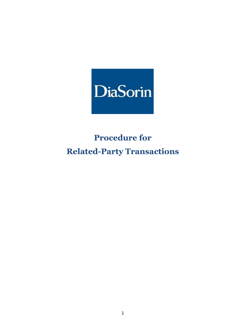

# **Procedure for Related-Party Transactions**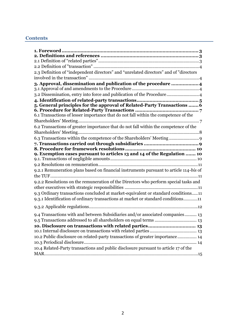# **Contents**

| 2.3 Definition of "independent directors" and "unrelated directors" and of "directors<br>3. Approval, dissemination and publication of the procedure  4<br>3.2 Dissemination, entry into force and publication of the Procedure4<br>5. General principles for the approval of Related-Party Transactions  6 |
|-------------------------------------------------------------------------------------------------------------------------------------------------------------------------------------------------------------------------------------------------------------------------------------------------------------|
|                                                                                                                                                                                                                                                                                                             |
|                                                                                                                                                                                                                                                                                                             |
|                                                                                                                                                                                                                                                                                                             |
|                                                                                                                                                                                                                                                                                                             |
|                                                                                                                                                                                                                                                                                                             |
|                                                                                                                                                                                                                                                                                                             |
|                                                                                                                                                                                                                                                                                                             |
|                                                                                                                                                                                                                                                                                                             |
|                                                                                                                                                                                                                                                                                                             |
|                                                                                                                                                                                                                                                                                                             |
|                                                                                                                                                                                                                                                                                                             |
| 6.1 Transactions of lesser importance that do not fall within the competence of the                                                                                                                                                                                                                         |
|                                                                                                                                                                                                                                                                                                             |
| 6.2 Transactions of greater importance that do not fall within the competence of the                                                                                                                                                                                                                        |
|                                                                                                                                                                                                                                                                                                             |
| 6.3 Transactions within the competence of the Shareholders' Meeting                                                                                                                                                                                                                                         |
|                                                                                                                                                                                                                                                                                                             |
|                                                                                                                                                                                                                                                                                                             |
| 9. Exemption cases pursuant to articles 13 and 14 of the Regulation  10                                                                                                                                                                                                                                     |
|                                                                                                                                                                                                                                                                                                             |
|                                                                                                                                                                                                                                                                                                             |
| 9.2.1 Remuneration plans based on financial instruments pursuant to article 114-bis of                                                                                                                                                                                                                      |
|                                                                                                                                                                                                                                                                                                             |
| 9.2.2 Resolutions on the remuneration of the Directors who perform special tasks and                                                                                                                                                                                                                        |
|                                                                                                                                                                                                                                                                                                             |
| 9.3 Ordinary transactions concluded at market-equivalent or standard conditions11                                                                                                                                                                                                                           |
| 9.3.1 Identification of ordinary transactions at market or standard conditions11                                                                                                                                                                                                                            |
|                                                                                                                                                                                                                                                                                                             |
| 9.4 Transactions with and between Subsidiaries and/or associated companies 13                                                                                                                                                                                                                               |
|                                                                                                                                                                                                                                                                                                             |
|                                                                                                                                                                                                                                                                                                             |
|                                                                                                                                                                                                                                                                                                             |
| 10.2 Public disclosure on related-party transactions of greater importance 14                                                                                                                                                                                                                               |
|                                                                                                                                                                                                                                                                                                             |
| 10.4 Related-Party transactions and public disclosure pursuant to article 17 of the                                                                                                                                                                                                                         |
|                                                                                                                                                                                                                                                                                                             |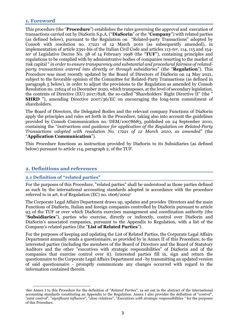# <span id="page-2-0"></span>**1. Foreword**

This procedure (the "**Procedure**") establishes the rules governing the approval and execution of transactions carried out by DiaSorin S.p.A. ("**DiaSorin**" or the "**Company**") with related parties (as defined below), pursuant to the Regulation on "Related-party Transactions" adopted by Consob with resolution no. 17221 of 12 March 2010 (as subsequently amended), in implementation of article 2391-bis of the Italian Civil Code and articles 113-*ter*, 114, 115 and 154 *ter* of Legislative Decree No. 58 of 14 February 1998 (the "**TUF**"), containing principles and regulations to be complied with by administrative bodies of companies resorting to the market of risk capital " *in order to ensure transparency and substantial and procedural fairness of relatedparty transactions entered into directly or through subsidiaries*" (the "**Regulation**"). This Procedure was most recently updated by the Board of Directors of DiaSorin on 14 May 2021, subject to the favorable opinion of the Committee for Related-Party Transactions (as defined in paragraph 5 below), in order to adjust the provisions to the Regulation as amended by Consob Resolution no. 21624 of 10 December 2020, which transposes, at the level of secondary legislation, the contents of Directive (EU) 2017/828, the so-called "Shareholders' Right Directive II" (the " **SHRD** "), amending Directive 2007/36/EC on encouraging the long-term commitment of shareholders.

The Board of Directors, the Delegated Bodies and the relevant company Functions of DiaSorin apply the principles and rules set forth in the Procedure, taking also into account the guidelines provided by Consob Communication no. DEM/10078683, published on 24 September 2010, containing the "*instructions and guidance for application of the Regulation on Related-Party Transactions adopted with resolution No. 17221 of 12 March 2010, as amended"* (the "**Application Communication**").

This Procedure functions as instruction provided by DiaSorin to its Subsidiaries (as defined below) pursuant to article 114, paragraph 2, of the TUF.

# <span id="page-2-1"></span>**2. Definitions and references**

#### <span id="page-2-2"></span>**2.1 Definition of "related parties"**

For the purposes of this Procedure, "related parties" shall be understood as those parties defined as such by the international accounting standards adopted in accordance with the procedure referred to in art. 6 of Regulation (EC) no. 1606/2002<sup>1</sup>

The Corporate Legal Affairs Department draws up, updates and provides Directors and the main Functions of DiaSorin, Italian and foreign companies controlled by DiaSorin pursuant to article 93 of the TUF or over which DiaSorin exercises management and coordination authority (the "**Subsidiaries**"), parties who exercise, directly or indirectly, control over DiaSorin and DiaSorin's associated companies, pursuant to the Appendix to Regulation, with a list of the Company's related parties (the "**List of Related Parties**").

For the purposes of keeping and updating the List of Related Parties, the Corporate Legal Affairs Department annually sends a questionnaire, as provided by in Annex II of this Procedure, to the interested parties (including the members of the Board of Directors and the Board of Statutory Auditors and the other "executives with strategic responsibilities" of DiaSorin and of the companies that exercise control over it). Interested parties fill in, sign and return the questionnaire to the Corporate Legal Affairs Department and - by transmitting an updated version of said questionnaire - promptly communicate any changes occurred with regard to the information contained therein.

 $\overline{a}$ <sup>1</sup>See Annex I to this Procedure for the definition of "*Related Parties*", as set out in the abstract of the international accounting standards constituting an Appendix to the Regulation. Annex I also provides the definition of "*control*", "*joint control*", "*significant influence*", "*close relatives*", "*Executives with strategic responsibilities "* for the purposes of this Procedure.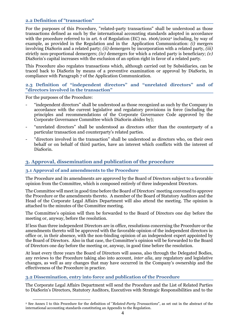#### <span id="page-3-0"></span>**2.2 Definition of "transaction"**

For the purposes of this Procedure, "related-party transactions" shall be understood as those transactions defined as such by the international accounting standards adopted in accordance with the procedure referred to in art. 6 of Regulation (EC) no. 1606/2002<sup>2</sup> including, by way of example, as provided in the Regulation and in the Application Communication: *(i)* mergers involving DiaSorin and a related party; *(ii)* demergers by incorporation with a related party, *(iii)* strictly non-proportional demergers; *(iv)* demergers for which a related party is beneficiary; *(v)* DiaSorin's capital increases with the exclusion of an option right in favor of a related party.

This Procedure also regulates transactions which, although carried out by Subsidiaries, can be traced back to DiaSorin by means of a preventive examination or approval by DiaSorin, in compliance with Paragraph 7 of the Application Communication.

#### <span id="page-3-1"></span>**2.3 Definition of "independent directors" and "unrelated directors" and of "directors involved in the transaction"**

For the purposes of the Procedure:

- "independent directors" shall be understood as those recognized as such by the Company in accordance with the current legislative and regulatory provisions in force (including the principles and recommendations of the Corporate Governance Code approved by the Corporate Governance Committee which DiaSorin abides by);
- "unrelated directors" shall be understood as directors other than the counterparty of a particular transaction and counterparty's related parties.
- "directors involved in the transaction" shall be understood as directors who, on their own behalf or on behalf of third parties, have an interest which conflicts with the interest of DiaSorin.

# <span id="page-3-2"></span>**3. Approval, dissemination and publication of the procedure**

#### <span id="page-3-3"></span>**3.1 Approval of and amendments to the Procedure**

The Procedure and its amendments are approved by the Board of Directors subject to a favorable opinion from the Committee, which is composed entirely of three independent Directors.

The Committee will meet in good time before the Board of Directors' meeting convened to approve the Procedure or the amendments thereto. A member of the Board of Statutory Auditors and the Head of the Corporate Legal Affairs Department will also attend the meeting. The opinion is attached to the minutes of the Committee meeting.

The Committee's opinion will then be forwarded to the Board of Directors one day before the meeting or, anyway, before the resolution.

If less than three independent Directors are in office, resolutions concerning the Procedure or the amendments thereto will be approved with the favorable opinion of the independent directors in office or, in their absence, with the non-binding opinion of an independent expert appointed by the Board of Directors. Also in that case, the Committee's opinion will be forwarded to the Board of Directors one day before the meeting or, anyway, in good time before the resolution.

At least every three years the Board of Directors will assess, also through the Delegated Bodies, any reviews to the Procedure taking also into account, *inter alia*, any regulatory and legislative changes, as well as any changes that may have occurred in the Company's ownership and the effectiveness of the Procedure in practice.

#### <span id="page-3-4"></span>**3.2 Dissemination, entry into force and publication of the Procedure**

The Corporate Legal Affairs Department will send the Procedure and the List of Related Parties to DiaSorin's Directors, Statutory Auditors, Executives with Strategic Responsibilities and to the

 $\ddot{\phantom{a}}$ <sup>2</sup> See Annex I to this Procedure for the definition of "*Related-Party Transactions*", as set out in the abstract of the international accounting standards constituting an Appendix to the Regulation.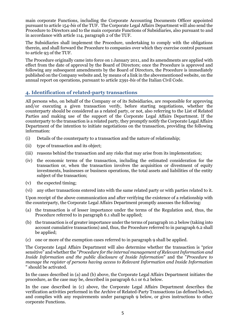main corporate Functions, including the Corporate Accounting Documents Officer appointed pursuant to article 154-*bis* of the TUF. The Corporate Legal Affairs Department will also send the Procedure to Directors and to the main corporate Functions of Subsidiaries, also pursuant to and in accordance with article 114, paragraph 2 of the TUF.

The Subsidiaries shall implement the Procedure, undertaking to comply with the obligations therein, and shall forward the Procedure to companies over which they exercise control pursuant to article 93 of the TUF.

The Procedure originally came into force on 1 January 2011, and its amendments are applied with effect from the date of approval by the Board of Directors; once the Procedure is approved and following any subsequent amendments by the Board of Directors, the Procedure is immediately published on the Company website and, by means of a link in the abovementioned website, on the annual report on operations, pursuant to article 2391-*bis* of the Italian Civil Code.

# <span id="page-4-0"></span>**4. Identification of related-party transactions**

All persons who, on behalf of the Company or of its Subsidiaries, are responsible for approving and/or executing a given transaction verify, before starting negotiations, whether the counterparty should be considered as a related party, or not, also referring to the List of Related Parties and making use of the support of the Corporate Legal Affairs Department. If the counterparty to the transaction is a related party, they promptly notify the Corporate Legal Affairs Department of the intention to initiate negotiations on the transaction, providing the following information:

- (i) Details of the counterparty to a transaction and the nature of relationship;
- (ii) type of transaction and its object;
- (iii) reasons behind the transaction and any risks that may arise from its implementation;
- (iv) the economic terms of the transaction, including the estimated consideration for the transaction or, when the transaction involves the acquisition or divestment of equity investments, businesses or business operations, the total assets and liabilities of the entity subject of the transaction;
- (v) the expected timing;
- (vi) any other transactions entered into with the same related party or with parties related to it.

Upon receipt of the above communication and after verifying the existence of a relationship with the counterparty, the Corporate Legal Affairs Department promptly assesses the following:

- (a) the transaction is of lesser importance under the terms of the Regulation and, thus, the Procedure referred to in paragraph 6.1 shall be applied;
- (b) the transaction is of greater importance under the terms of paragraph 10.2 below (taking into account cumulative transactions) and, thus, the Procedure referred to in paragraph 6.2 shall be applied;
- (c) one or more of the exemption cases referred to in paragraph 9 shall be applied.

The Corporate Legal Affairs Department will also determine whether the transaction is "price sensitive" and whether the "*Procedure for the internal management of RelevantInformation and Inside Information and the public disclosure of Inside Information*" and the "*Procedure to manage the register of persons having access to Relevant Information and Inside Information* " should be activated.

In the cases described in (a) and (b) above, the Corporate Legal Affairs Department initiates the procedure, as the case may be, described in paragraph 6.1 or 6.2 below.

In the case described in (c) above, the Corporate Legal Affairs Department describes the verification activities performed in the Archive of Related-Party Transactions (as defined below), and complies with any requirements under paragraph 9 below, or gives instructions to other corporate Functions.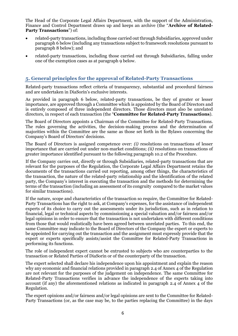The Head of the Corporate Legal Affairs Department, with the support of the Administration, Finance and Control Department draws up and keeps an archive (the "**Archive of Related-Party Transactions**") of:

- related-party transactions, including those carried out through Subsidiaries, approved under paragraph 6 below (including any transactions subject to framework resolutions pursuant to paragraph 8 below); and
- related-party transactions, including those carried out through Subsidiaries, falling under one of the exemption cases as at paragraph 9 below.

# <span id="page-5-0"></span>**5. General principles for the approval of Related-Party Transactions**

Related-party transactions reflect criteria of transparency, substantial and procedural fairness and are undertaken in DiaSorin's exclusive interests.

As provided in paragraph 6 below, related-party transactions, be they of greater or lesser importance, are approved through a Committee which is appointed by the Board of Directors and is entirely composed of three independent directors. Those directors must also be unrelated directors, in respect of each transaction (the "**Committee for Related-Party Transactions**).

The Board of Directors appoints a Chairman of the Committee for Related-Party Transactions. The rules governing the activities, the decision-making process and the determination of majorities within the Committee are the same as those set forth in the Bylaws concerning the Company's Board of Directors' decisions.

The Board of Directors is assigned competence over: *(i)* resolutions on transactions of lesser importance that are carried out under non-market conditions; *(ii)* resolutions on transactions of greater importance identified pursuant to the following paragraph 10.2 of the Procedure.

If the Company carries out, directly or through Subsidiaries, related-party transactions that are relevant for the purposes of the Regulation, the Corporate Legal Affairs Department retains the documents of the transactions carried out reporting, among other things, the characteristics of the transaction, the nature of the related-party relationship and the identification of the related party, the Company's interest in executing the transaction and the methods for determining the terms of the transaction (including an assessment of its congruity compared to the market values for similar transactions).

If the nature, scope and characteristics of the transaction so require, the Committee for Related-Party Transactions has the right to ask, at Company's expenses, for the assistance of independent experts of its choice to carry out the assessments under its jurisdiction, such as in relation to financial, legal or technical aspects by commissioning a special valuation and/or fairness and/or legal opinions in order to ensure that the transaction is not undertaken with different conditions from those that would realistically have been agreed between unrelated parties. To this end, the same Committee may indicate to the Board of Directors of the Company the expert or experts to be appointed for carrying out the transaction and the assignment must expressly provide that the expert or experts specifically assists/assist the Committee for Related-Party Transactions in performing its functions.

The role of independent expert cannot be entrusted to subjects who are counterparties to the transaction or Related Parties of DiaSorin or of the counterparty of the transaction.

The expert selected shall declare his independence upon his appointment and explain the reason why any economic and financial relations provided in paragraph 2.4 of Annex 4 of the Regulation are not relevant for the purposes of the judgement on independence. The same Committee for Related-Party Transactions verifies in advance the independence of the experts taking into account (if any) the aforementioned relations as indicated in paragraph 2.4 of Annex 4 of the Regulation.

The expert opinions and/or fairness and/or legal opinions are sent to the Committee for Related-Party Transactions (or, as the case may be, to the parties replacing the Committee) in the days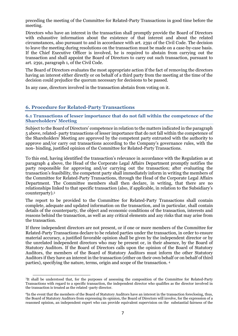preceding the meeting of the Committee for Related-Party Transactions in good time before the meeting.

Directors who have an interest in the transaction shall promptly provide the Board of Directors with exhaustive information about the existence of that interest and about the related circumstances, also pursuant to and in accordance with art. 2391 of the Civil Code. The decision to leave the meeting during resolutions on the transaction must be made on a case-by-case basis. If the Chief Executive Officer is involved, he is required to abstain from carrying out the transaction and shall appoint the Board of Directors to carry out such transaction, pursuant to art. 2391, paragraph 1, of the Civil Code.

The Board of Directors evaluates the most appropriate action if the fact of removing the directors having an interest either directly or on behalf of a third party from the meeting at the time of the decision could prejudice the quorum necessary for decisions to be passed.

In any case, directors involved in the transaction abstain from voting on it.

# <span id="page-6-0"></span>**6. Procedure for Related-Party Transactions**

<span id="page-6-1"></span>**6.1 Transactions of lesser importance that do not fall within the competence of the Shareholders' Meeting**

Subject to the Board of Directors' competence in relation to the matters indicated in the paragraph 5 above, related- party transactions of lesser importance that do not fall within the competence of the Shareholders' Meeting are approved by the competent party entrusted with the authority to approve and/or carry out transactions according to the Company's governance rules, with the non- binding, justified opinion of the Committee for Related-Party Transactions.

To this end, having identified the transaction's relevance in accordance with the Regulation as at paragraph 4 above, the Head of the Corporate Legal Affairs Department promptly notifies the party responsible for approving and/or carrying out the transaction; after evaluating the transaction's feasibility, the competent party shall immediately inform in writing the members of the Committee for Related-Party Transactions, through the Head of the Corporate Legal Affairs Department. The Committee members shall then declare, in writing, that there are no relationships linked to that specific transaction (also, if applicable, in relation to the Subsidiary's counterparty).<sup>3</sup>

The report to be provided to the Committee for Related-Party Transactions shall contain complete, adequate and updated information on the transaction, and in particular, shall contain details of the counterparty, the object and economic conditions of the transaction, interests and reasons behind the transaction, as well as any critical elements and any risks that may arise from the transaction.

If three independent directors are not present, or if one or more members of the Committee for Related-Party Transactions declare to be related parties under the transaction, in order to ensure material accuracy, a justified favorable opinion shall be given by the independent director or by the unrelated independent directors who may be present or, in their absence, by the Board of Statutory Auditors. If the Board of Directors calls upon the opinion of the Board of Statutory Auditors, the members of the Board of Statutory Auditors must inform the other Statutory Auditors if they have an interest in the transaction (either on their own behalf or on behalf of third parties), specifying the nature, terms, origin and scope of the transaction. <sup>4</sup>

 $\ddot{\phantom{a}}$ 3 It shall be understood that, for the purposes of assessing the composition of the Committee for Related-Party Transactions with regard to a specific transaction, the independent director who qualifies as the director involved in the transaction is treated as the related -party director.

<sup>4</sup>In the event that the members of the Board of Statutory Auditors have an interest in the transaction foreclosing, thus, the Board of Statutory Auditors from expressing its opinion, the Board of Directors will involve, for the expression of a reasoned opinion, an independent expert who can provide equivalent supervision on the substantial fairness of the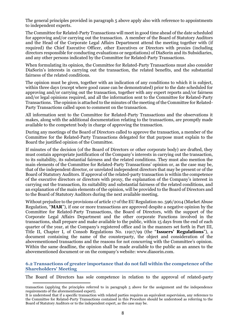The general principles provided in paragraph 5 above apply also with reference to appointments to independent experts.

The Committee for Related-Party Transactions will meet in good time ahead of the date scheduled for approving and/or carrying out the transaction. A member of the Board of Statutory Auditors and the Head of the Corporate Legal Affairs Department attend the meeting together with (if required) the Chief Executive Officer, other Executives or Directors with proxies (including directors responsible for conducting evaluations or negotiations) of DiaSorin and its Subsidiaries, and any other persons indicated by the Committee for Related-Party Transactions.

When formulating its opinion, the Committee for Related-Party Transactions must also consider DiaSorin's interests in carrying out the transaction, the related benefits, and the substantial fairness of the related conditions.

The opinion must be given, together with an indication of any conditions to which it is subject, within three days (except where good cause can be demonstrated) prior to the date scheduled for approving and/or carrying out the transaction, together with any expert reports and/or fairness and/or legal opinions required, and all the information sent to the Committee for Related-Party Transactions. The opinion is attached to the minutes of the meeting of the Committee for Related-Party Transactions called upon to comment on the transaction.

All information sent to the Committee for Related-Party Transactions and the observations it makes, along with the additional documentation relating to the transactions, are promptly made available to the competent body in charge of approving the transaction.

During any meetings of the Board of Directors called to approve the transaction, a member of the Committee for the Related-Party Transactions delegated for that purpose must explain to the Board the justified opinion of the Committee.

If minutes of the decision (of the Board of Directors or other corporate body) are drafted, they must contain appropriate justification of the Company's interests in carrying out the transaction, to its suitability, its substantial fairness and the related conditions. They must also mention the main elements of the Committee for Related-Party Transactions' opinion or, as the case may be, that of the independent director, or unrelated independent directors that may be present or of the Board of Statutory Auditors. If approval of the related-party transaction is within the competence of the executive directors or directors with proxy, the explanation of the Company's interest in carrying out the transaction, its suitability and substantial fairness of the related conditions, and an explanation of the main elements of the opinion, will be provided to the Board of Directors and to the Board of Statutory Auditors during the next available meeting.

Without prejudice to the provisions of article 17 of the EU Regulation no. 596/2014 (Market Abuse Regulation, "**MAR**"), if one or more transactions are approved despite a negative opinion by the Committee for Related-Party Transactions, the Board of Directors, with the support of the Corporate Legal Affairs Department and the other corporate Functions involved in the transactions, shall prepare and make available to the public, within 15 days from the end of each quarter of the year, at the Company's registered office and in the manners set forth in Part III, Title II, Chapter I, of Consob Regulations No. 11917/99 (the "**Issuers' Regulations**"), a document containing the name of the counterparty, the object and consideration of the abovementioned transactions and the reasons for not concurring with the Committee's opinion. Within the same deadline, the opinion shall be made available to the public as an annex to the abovementioned document or on the company's website: www.diasorin.com.

#### <span id="page-7-0"></span>**6.2 Transactions of greater importance that do not fall within the competence of the Shareholders' Meeting**

The Board of Directors has sole competence in relation to the approval of related-party

 $\ddot{\phantom{a}}$ transaction (applying the principles referred to in paragraph 5 above for the assignment and the independence requirements of the aforementioned expert).

It is understood that if a specific transaction with related parties requires an equivalent supervision, any reference to the Committee for Related-Party Transactions contained in this Procedure should be understood as referring to the Board of Statutory Auditors or to the independent expert, as the case may be.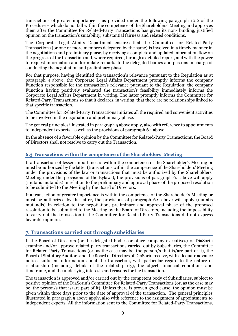transactions of greater importance – as provided under the following paragraph 10.2 of the Procedure – which do not fall within the competence of the Shareholders' Meeting and approves them after the Committee for Related-Party Transactions has given its non- binding, justified opinion on the transaction's suitability, substantial fairness and related conditions.

The Corporate Legal Affairs Department ensures that the Committee for Related-Party Transactions (or one or more members delegated by the same) is involved in a timely manner in the negotiations and preliminary phase, by receiving a complete and updated information flow on the progress of the transaction and, where required, through a detailed report, and with the power to request information and formulate remarks to the delegated bodies and persons in charge of conducting the negotiation and preliminary phase.

For that purpose, having identified the transaction's relevance pursuant to the Regulation as at paragraph 4 above, the Corporate Legal Affairs Department promptly informs the company Function responsible for the transaction's relevance pursuant to the Regulation; the company Function having positively evaluated the transaction's feasibility immediately informs the Corporate Legal Affairs Department in writing. The latter promptly informs the Committee for Related-Party Transactions so that it declares, in writing, that there are no relationships linked to that specific transaction.

The Committee for Related-Party Transactions initiates all the required and convenient activities to be involved in the negotiation and preliminary phase.

The general principles illustrated in paragraph 5 above apply, also with reference to appointments to independent experts, as well as the provisions of paragraph 6.1 above.

In the absence of a favorable opinion by the Committee for Related-Party Transactions, the Board of Directors shall not resolve to carry out the Transaction.

# <span id="page-8-0"></span>**6.3 Transactions within the competence of the Shareholders' Meeting**

If a transaction of lesser importance is within the competence of the Shareholder's Meeting or must be authorized by the latter (transactions within the competence of the Shareholders' Meeting under the provisions of the law or transactions that must be authorized by the Shareholders' Meeting under the provisions of the Bylaws), the provisions of paragraph 6.1 above will apply (mutatis mutandis) in relation to the preliminary and approval phase of the proposed resolution to be submitted to the Meeting by the Board of Directors.

If a transaction of greater importance is within the competence of the Shareholder's Meeting or must be authorized by the latter, the provisions of paragraph 6.2 above will apply (mutatis mutandis) in relation to the negotiation, preliminary and approval phase of the proposed resolution to be submitted to the Meeting by the Board of Directors, including the impossibility to carry out the transaction if the Committee for Related-Party Transactions did not express favorable opinion.

# <span id="page-8-1"></span>**7. Transactions carried out through subsidiaries**

If the Board of Directors (or the delegated bodies or other company executives) of DiaSorin examine and/or approve related-party transactions carried out by Subsidiaries, the Committee for Related-Party Transactions (or, as the case may be, the person/s that is/are part of it), the Board of Statutory Auditors and the Board of Directors of DiaSorin receive, with adequate advance notice, sufficient information about the transaction, with particular regard to the nature of relationship (including details of the related party), the object, financial conditions and timeframe, and the underlying interests and reasons for the transaction.

The transaction is approved and/or carried out by the competent body of Subsidiaries, subject to positive opinion of the DiaSorin's Committee for Related-Party Transactions (or, as the case may be, the person/s that is/are part of it). Unless there is proven good cause, the opinion must be given within three days prior to the date of approval of the transaction. The general principles illustrated in paragraph 5 above apply, also with reference to the assignment of appointments to independent experts. All the information sent to the Committee for Related-Party Transactions,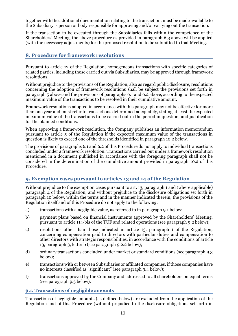together with the additional documentation relating to the transaction, must be made available to the Subsidiary' s person or body responsible for approving and/or carrying out the transaction.

If the transaction to be executed through the Subsidiaries falls within the competence of the Shareholders' Meeting, the above procedure as provided in paragraph 6.3 above will be applied (with the necessary adjustments) for the proposed resolution to be submitted to that Meeting.

# <span id="page-9-0"></span>**8. Procedure for framework resolutions**

Pursuant to article 12 of the Regulation, homogeneous transactions with specific categories of related parties, including those carried out via Subsidiaries, may be approved through framework resolutions.

Without prejudice to the provisions of the Regulation, also as regard public disclosure, resolutions concerning the adoption of framework resolutions shall be subject the provisions set forth in paragraph 5 above and the provisions of paragraphs 6.1 and 6.2 above, according to the expected maximum value of the transactions to be resolved in their cumulative amount.

Framework resolutions adopted in accordance with this paragraph may not be effective for more than one year and must refer to transactions determined adequately, stating at least the expected maximum value of the transactions to be carried out in the period in question, and justification for the planned conditions.

When approving a framework resolution, the Company publishes an information memorandum pursuant to article 5 of the Regulation if the expected maximum value of the transactions in question is likely to exceed one of the thresholds identified in paragraph 10.2 below.

The provisions of paragraphs 6.1 and 6.2 of this Procedure do not apply to individual transactions concluded under a framework resolution. Transactions carried out under a framework resolution mentioned in a document published in accordance with the foregoing paragraph shall not be considered in the determination of the cumulative amount provided in paragraph 10.2 of this Procedure.

# <span id="page-9-1"></span>**9. Exemption cases pursuant to articles 13 and 14 of the Regulation**

Without prejudice to the exemption cases pursuant to art. 13, paragraph 1 and (where applicable) paragraph 4 of the Regulation, and without prejudice to the disclosure obligations set forth in paragraph 10 below, within the terms and in the manner indicated therein, the provisions of the Regulation itself and of this Procedure do not apply to the following:

- a) transactions with a negligible value, as referred to in paragraph 9.1 below;
- b) payment plans based on financial instruments approved by the Shareholders' Meeting, pursuant to article 114-bis of the TUF and related operations (see paragraph 9.2 below);
- c) resolutions other than those indicated in article 13, paragraph 1 of the Regulation, concerning compensation paid to directors with particular duties and compensation to other directors with strategic responsibilities, in accordance with the conditions of article 13, paragraph 3, letter b (see paragraph 9.2.2 below);
- d) ordinary transactions concluded under market or standard conditions (see paragraph 9.3 below);
- e) transactions with or between Subsidiaries or affiliated companies, if those companies have no interests classified as "significant" (see paragraph 9.4 below);
- f) transactions approved by the Company and addressed to all shareholders on equal terms (see paragraph 9.5 below).

#### <span id="page-9-2"></span>**9.1. Transactions of negligible amounts**

Transactions of negligible amounts (as defined below) are excluded from the application of the Regulation and of this Procedure (without prejudice to the disclosure obligations set forth in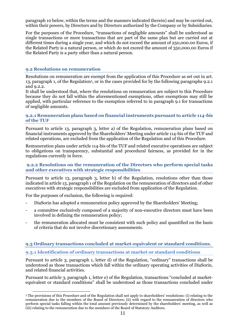paragraph 10 below, within the terms and the manners indicated therein) and may be carried out, within their powers, by Directors and by Directors authorized by the Company or by Subsidiaries.

For the purposes of the Procedure, "transactions of negligible amounts" shall be understood as single transactions or more transactions that are part of the same plan but are carried out at different times during a single year, and which do not exceed the amount of 250,000.00 Euros, if the Related Party is a natural person, or which do not exceed the amount of 350,000.00 Euros if the Related Party is a party other than a natural person.

#### <span id="page-10-0"></span>**9.2 Resolutions on remuneration**

Resolutions on remuneration are exempt from the application of this Procedure as set out in art. 13, paragraph 1, of the Regulation<sup>5</sup>, or in the cases provided for by the following paragraphs 9.2.1 and  $9.2.2.5$ 

It shall be understood that, where the resolutions on remuneration are subject to this Procedure because they do not fall within the aforementioned exemptions, other exemptions may still be applied, with particular reference to the exemption referred to in paragraph 9.1 for transactions of negligible amounts.

#### <span id="page-10-1"></span>**9.2.1 Remuneration plans based on financial instruments pursuant to article 114-***bis* **of the TUF**

Pursuant to article 13, paragraph 3, letter a) of the Regulation, remuneration plans based on financial instruments approved by the Shareholders' Meeting under article 114-bis of the TUF and related operations, are excluded from the application of the Regulation and of this Procedure.

Remuneration plans under article 114-bis of the TUF and related executive operations are subject to obligations on transparency, substantial and procedural fairness, as provided for in the regulations currently in force.

#### <span id="page-10-2"></span>**9.2.2 Resolutions on the remuneration of the Directors who perform special tasks and other executives with strategic responsibilities**

Pursuant to article 13, paragraph 3, letter b) of the Regulation, resolutions other than those indicated in article 13, paragraph 1 of the Regulation on the remuneration of directors and of other executives with strategic responsibilities are excluded from application of the Regulation.

For the purposes of exclusion, the following is required:

- DiaSorin has adopted a remuneration policy approved by the Shareholders' Meeting;
- a committee exclusively composed of a majority of non-executive directors must have been involved in defining the remuneration policy;
- the remuneration allocated must be consistent with such policy and quantified on the basis of criteria that do not involve discretionary assessments.

#### <span id="page-10-3"></span>**9.3 Ordinary transactions concluded at market-equivalent or standard conditions.**

#### <span id="page-10-4"></span>**9.3.1 Identification of ordinary transactions at market or standard conditions**

Pursuant to article 3, paragraph 1, letter d) of the Regulation, "ordinary" transactions shall be understood as those transactions which fall within the ordinary operating activities of DiaSorin, and related financial activities.

Pursuant to article 3, paragraph 1, letter e) of the Regulation, transactions "concluded at marketequivalent or standard conditions" shall be understood as those transactions concluded under

 $\overline{a}$ <sup>5</sup> The provisions of this Procedure and of the Regulation shall not apply to shareholders' resolutions: (i) relating to the remuneration due to the members of the Board of Directors; (ii) with regard to the remuneration of directors who perform special tasks falling within the total amount previously determined by the shareholders' meeting, as well as (iii) relating to the remuneration due to the members of the Board of Statutory Auditors.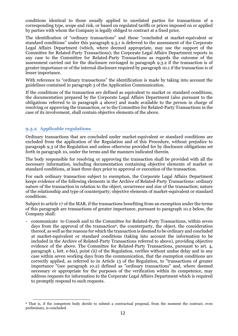conditions identical to those usually applied to unrelated parties for transactions of a corresponding type, scope and risk, or based on regulated tariffs or prices imposed on or applied by parties with whom the Company is legally obliged to contract at a fixed price.

The identification of "ordinary transactions" and those "concluded at market-equivalent or standard conditions" under this paragraph 9.3.1 is deferred to the assessment of the Corporate Legal Affairs Department (which, where deemed appropriate, may use the support of the Committee for Related-Party Transactions); the Corporate Legal Affairs Department reports in any case to the Committee for Related-Party Transactions as regards the outcome of the assessment carried out for the disclosure envisaged in paragraph 9.3.2 if the transaction is of greater importance or of the internal disclosure required by paragraph 10.1 if the transaction is of lesser importance.

With reference to "ordinary transactions" the identification is made by taking into account the guidelines contained in paragraph 3 of the Application Communication.

If the conditions of the transaction are defined as equivalent to market or standard conditions, the documentation prepared by the Corporate Legal Affairs Department (also pursuant to the obligations referred to in paragraph 4 above) and made available to the person in charge of resolving or approving the transaction, or to the Committee for Related-Party Transactions in the case of its involvement, shall contain objective elements of the above.

#### <span id="page-11-0"></span>**9.3.2 Applicable regulations**

Ordinary transactions that are concluded under market-equivalent or standard conditions are excluded from the application of the Regulation and of this Procedure, without prejudice to paragraph 9.3 of the Regulation and unless otherwise provided for by disclosure obligations set forth in paragraph 10, under the terms and the manners indicated therein.

The body responsible for resolving or approving the transaction shall be provided with all the necessary information, including documentation containing objective elements of market or standard conditions, at least three days prior to approval or execution of the transaction.

For each ordinary transaction subject to exemption, the Corporate Legal Affairs Department keeps evidence of the following elements in the Archive of Related-Party Transactions: ordinary nature of the transaction in relation to the object, occurrence and size of the transaction; nature of the relationship and type of counterparty; objective elements of market-equivalent or standard conditions.

Subject to article 17 of the MAR, if the transactions benefiting from an exemption under the terms of this paragraph are transactions of greater importance, pursuant to paragraph 10.2 below, the Company shall:

- communicate to Consob and to the Committee for Related-Party Transactions, within seven days from the approval of the transaction<sup>6</sup>, the counterparty, the object, the consideration thereof, as well as the reasons for which the transaction is deemed to be ordinary and concluded at market-equivalent or standard conditions (taking into account the information to be included in the Archive of Related-Party Transactions referred to above), providing objective evidence of the above. The Committee for Related-Party Transactions, pursuant to art. 4, paragraph 1, lett. e-bis), point *(ii)* of the Regulation, verifies without undue delay and in any case within seven working days from the communication, that the exemption conditions are correctly applied, as referred to in Article 13 of the Regulation, to "transactions of greater importance "(see paragraph 10.2) defined as "ordinary transactions" and, where deemed necessary or appropriate for the purposes of the verification within its competence, may address requests for information to the Corporate Legal Affairs Department which is required to promptly respond to such requests.

 $\overline{a}$ <sup>6</sup> That is, if the competent body decide to submit a contractual proposal, from the moment the contract, even preliminary, is concluded.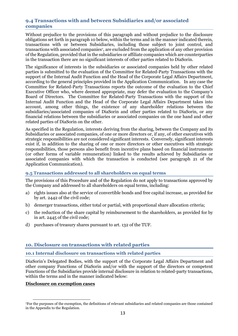### <span id="page-12-0"></span>**9.4 Transactions with and between Subsidiaries and/or associated companies**

Without prejudice to the provisions of this paragraph and without prejudice to the disclosure obligations set forth in paragraph 10 below, within the terms and in the manner indicated therein, transactions with or between Subsidiaries, including those subject to joint control, and transactions with associated companies7, are excluded from the application of any other provision of the Regulation, provided that in the subsidiaries or affiliate companies which are counterparties in the transaction there are no significant interests of other parties related to DiaSorin. <sup>7</sup>

The significance of interests in the subsidiaries or associated companies held by other related parties is submitted to the evaluation of the Committee for Related-Party Transactions with the support of the Internal Audit Function and the Head of the Corporate Legal Affairs Department, according to the general principles provided in the Application Communication. In any case the Committee for Related-Party Transactions reports the outcome of the evaluation to the Chief Executive Officer who, where deemed appropriate, may defer the evaluation to the Company's Board of Directors. The Committee for Related-Party Transactions with the support of the Internal Audit Function and the Head of the Corporate Legal Affairs Department takes into account, among other things, the existence of any shareholder relations between the subsidiaries/associated companies of DiaSorin and other parties related to DiaSorin, or any financial relations between the subsidiaries or associated companies on the one hand and other related parties of DiaSorin on the other.

As specified in the Regulation, interests deriving from the sharing, between the Company and its Subsidiaries or associated companies, of one or more directors or, if any, of other executives with strategic responsibilities are not considered significant interests. Conversely, significant interests exist if, in addition to the sharing of one or more directors or other executives with strategic responsibilities, those persons also benefit from incentive plans based on financial instruments (or other forms of variable remuneration) linked to the results achieved by Subsidiaries or associated companies with which the transaction is conducted (see paragraph 21 of the Application Communication).

# <span id="page-12-1"></span>**9.5 Transactions addressed to all shareholders on equal terms**

The provisions of this Procedure and of the Regulation do not apply to transactions approved by the Company and addressed to all shareholders on equal terms, including:

- a) rights issues also at the service of convertible bonds and free capital increase, as provided for by art. 2442 of the civil code;
- b) demerger transactions, either total or partial, with proportional share allocation criteria;
- c) the reduction of the share capital by reimbursement to the shareholders, as provided for by in art. 2445 of the civil code;
- d) purchases of treasury shares pursuant to art. 132 of the TUF.

# <span id="page-12-2"></span>**10. Disclosure on transactions with related parties**

# <span id="page-12-3"></span>**10.1 Internal disclosure on transactions with related parties**

DiaSorin's Delegated Bodies, with the support of the Corporate Legal Affairs Department and other company Functions of DiaSorin and/or with the support of the directors or competent Functions of the Subsidiaries provide internal disclosure in relation to related-party transactions, within the terms and in the manner indicated below:

#### **Disclosure on exemption cases**

 $\overline{a}$ <sup>7</sup>For the purposes of the exemption, the definitions of relevant subsidiaries and related companies are those contained in the Appendix to the Regulation.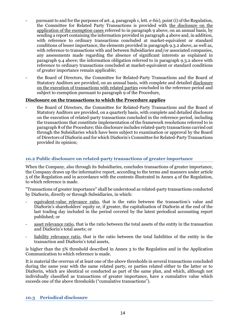- pursuant to and for the purposes of art. 4, paragraph 1, lett. *e-bis*), point (i) of the Regulation, the Committee for Related Party Transactions is provided with the disclosure on the application of the exemption cases referred to in paragraph 9 above, on an annual basis, by sending a report containing the information provided in paragraph 4 above and, in addition, with reference to ordinary transactions concluded at market-equivalent or standard conditions of lesser importance, the elements provided in paragraph 9.3.2 above, as well as, with reference to transactions with and between Subsidiaries and/or associated companies, any assessments made regarding the absence of significant interests as explained in paragraph 9.4 above; the information obligation referred to in paragraph 9.3.2 above with reference to ordinary transactions concluded at market-equivalent or standard conditions of greater importance remain applicable;
- the Board of Directors, the Committee for Related-Party Transactions and the Board of Statutory Auditors are provided, on an annual basis, with complete and detailed disclosure on the execution of transactions with related parties concluded in the reference period and subject to exemption pursuant to paragraph 9 of the Procedure.

### **Disclosure on the transactions to which the Procedure applies**

the Board of Directors, the Committee for Related-Party Transactions and the Board of Statutory Auditors are provided, on a quarterly basis, with complete and detailed disclosure on the execution of related-party transactions concluded in the reference period, including the transactions that constitute implementation of the framework resolutions referred to in paragraph 8 of the Procedure; this disclosure includes related-party transactions carried out through the Subsidiaries which have been subject to examination or approval by the Board of Directors of DiaSorin and for which DiaSorin's Committee for Related-Party Transactions provided its opinion;

# <span id="page-13-0"></span>**10.2 Public disclosure on related-party transactions of greater importance**

When the Company, also through its Subsidiaries, concludes transactions of greater importance, the Company draws up the informative report, according to the terms and manners under article 5 of the Regulation and in accordance with the contents illustrated in Annex 4 of the Regulation, to which reference is made.

"Transactions of greater importance" shall be understood as related-party transactions conducted by DiaSorin, directly or through Subsidiaries, in which:

- equivalent-value relevance ratio, that is the ratio between the transaction's value and DiaSorin's shareholders' equity or, if greater, the capitalization of DiaSorin at the end of the last trading day included in the period covered by the latest periodical accounting report published; or
- asset relevance ratio, that is the ratio between the total assets of the entity in the transaction and DiaSorin's total assets; or
- liability relevance ratio, that is the ratio between the total liabilities of the entity in the transaction and DiaSorin's total assets,

is higher than the 5% threshold described in Annex 3 to the Regulation and in the Application Communication to which reference is made.

It is material the overrun of at least one of the above thresholds in several transactions concluded during the same year with the same related party, or parties related either to the latter or to DiaSorin, which are identical or conducted as part of the same plan, and which, although not individually classified as transactions of greater importance, have a cumulative value which exceeds one of the above thresholds ("cumulative transactions").

#### <span id="page-13-1"></span>**10.3 Periodical disclosure**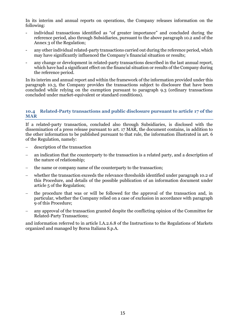In its interim and annual reports on operations, the Company releases information on the following:

- individual transactions identified as "of greater importance" and concluded during the reference period, also through Subsidiaries, pursuant to the above paragraph 10.2 and of the Annex 3 of the Regulation;
- any other individual related-party transactions carried out during the reference period, which may have significantly influenced the Company's financial situation or results;
- any change or development in related-party transactions described in the last annual report, which have had a significant effect on the financial situation or results of the Company during the reference period.

In its interim and annual report and within the framework of the information provided under this paragraph 10.3, the Company provides the transactions subject to disclosure that have been concluded while relying on the exemption pursuant to paragraph 9.3 (ordinary transactions concluded under market-equivalent or standard conditions).

#### <span id="page-14-0"></span>**10.4 Related-Party transactions and public disclosure pursuant to article 17 of the MAR**

If a related-party transaction, concluded also through Subsidiaries, is disclosed with the dissemination of a press release pursuant to art. 17 MAR, the document contains, in addition to the other information to be published pursuant to that rule, the information illustrated in art. 6 of the Regulation, namely:

- description of the transaction
- an indication that the counterparty to the transaction is a related party, and a description of the nature of relationship;
- the name or company name of the counterparty to the transaction;
- whether the transaction exceeds the relevance thresholds identified under paragraph 10.2 of this Procedure, and details of the possible publication of an information document under article 5 of the Regulation;
- the procedure that was or will be followed for the approval of the transaction and, in particular, whether the Company relied on a case of exclusion in accordance with paragraph 9 of this Procedure;
- any approval of the transaction granted despite the conflicting opinion of the Committee for Related-Party Transactions;

and information referred to in article I.A.2.6.8 of the Instructions to the Regulations of Markets organized and managed by Borsa Italiana S.p.A.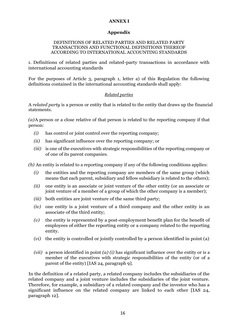#### **ANNEX I**

#### **Appendix**

#### DEFINITIONS OF RELATED PARTIES AND RELATED PARTY TRANSACTIONS AND FUNCTIONAL DEFINITIONS THEREOF ACCORDING TO INTERNATIONAL ACCOUNTING STANDARDS

1. Definitions of related parties and related-party transactions in accordance with international accounting standards

For the purposes of Article 3, paragraph 1, letter a) of this Regulation the following definitions contained in the international accounting standards shall apply:

### *Related parties*

A *related party* is a person or entity that is related to the entity that draws up the financial statements.

*(a)*A person or a close relative of that person is related to the reporting company if that person:

- *(i)* has control or joint control over the reporting company;
- *(ii)* has significant influence over the reporting company; or
- *(iii)* is one of the executives with strategic responsibilities of the reporting company or of one of its parent companies.

*(b)* An entity is related to a reporting company if any of the following conditions applies:

- *(i)* the entities and the reporting company are members of the same group (which means that each parent, subsidiary and fellow subsidiary is related to the others);
- *(ii)* one entity is an associate or joint venture of the other entity (or an associate or joint venture of a member of a group of which the other company is a member);
- *(iii)* both entities are joint venture of the same third party;
- *(iv)* one entity is a joint venture of a third company and the other entity is an associate of the third entity;
- *(v)* the entity is represented by a post-employment benefit plan for the benefit of employees of either the reporting entity or a company related to the reporting entity.
- *(vi)* the entity is controlled or jointly controlled by a person identified in point (a)
- *(vii)* a person identified in point *(a) (i)* has significant influence over the entity or is a member of the executives with strategic responsibilities of the entity (or of a parent of the entity) [IAS 24, paragraph 9].

In the definition of a related party, a related company includes the subsidiaries of the related company and a joint venture includes the subsidiaries of the joint venture. Therefore, for example, a subsidiary of a related company and the investor who has a significant influence on the related company are linked to each other [IAS 24, paragraph 12].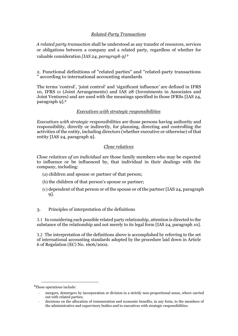# *Related-Party Transactions*

*A related party transaction* shall be understood as any transfer of resources, services or obligations between a company and a related party, regardless of whether for valuable consideration *[IAS 24, paragraph 9] <sup>8</sup>*

2. Functional definitions of "related parties" and "related-party transactions " according to international accounting standards

The terms 'control', 'joint control' and 'significant influence' are defined in IFRS 10, IFRS 11 (Joint Arrangements) and IAS 28 (Investments in Associates and Joint Ventures) and are used with the meanings specified in those IFRSs [IAS 24, paragraph 9].<sup>8</sup>

#### *Executives with strategic responsibilities*

*Executives with strategic responsibilities* are those persons having authority and responsibility, directly or indirectly, for planning, directing and controlling the activities of the entity, including directors (whether executive or otherwise) of that entity [IAS 24, paragraph 9].

#### *Close relatives*

*Close relatives of an individual* are those family members who may be expected to influence or be influenced by, that individual in their dealings with the company, including:

- (a) children and spouse or partner of that person;
- (b) the children of that person's spouse or partner;
- (c) dependent of that person or of the spouse or of the partner [IAS 24, paragraph 9].
- 3. Principles of interpretation of the definitions

3.1 In considering each possible related party relationship, attention is directed to the substance of the relationship and not merely to its legal form [IAS 24, paragraph 10].

3.2 The interpretation of the definitions above is accomplished by referring to the set of international accounting standards adopted by the procedure laid down in Article 6 of Regulation (EC) No. 1606/2002.

**.** 

<sup>8</sup>These operations include:

<sup>-</sup> mergers, demergers by incorporation or division in a strictly non-proportional sense, where carried out with related parties;

<sup>-</sup> decisions on the allocation of remuneration and economic benefits, in any form, to the members of the administrative and supervisory bodies and to executives with strategic responsibilities.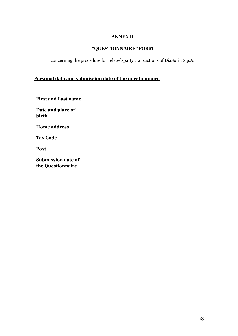# **ANNEX II**

# **"QUESTIONNAIRE" FORM**

concerning the procedure for related-party transactions of DiaSorin S.p.A.

# **Personal data and submission date of the questionnaire**

| <b>First and Last name</b>                     |  |
|------------------------------------------------|--|
| Date and place of<br>birth                     |  |
| <b>Home address</b>                            |  |
| <b>Tax Code</b>                                |  |
| Post                                           |  |
| <b>Submission date of</b><br>the Questionnaire |  |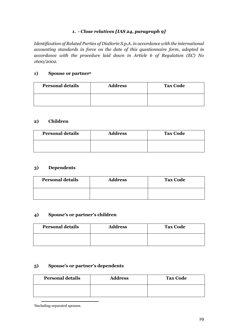# *1. - Close relatives [IAS 24, paragraph 9]*

*Identification of Related Parties of DiaSorin S.p.A. in accordance with the international accounting standards in force on the date of this questionnaire form, adopted in accordance with the procedure laid down in Article 6 of Regulation (EC) No 1600/2002.*

# **1) Spouse or partner<sup>9</sup>**

| <b>Personal details</b> | <b>Address</b> | <b>Tax Code</b> |
|-------------------------|----------------|-----------------|
|                         |                |                 |

#### **2) Children**

| <b>Personal details</b> | <b>Address</b> | <b>Tax Code</b> |
|-------------------------|----------------|-----------------|
|                         |                |                 |

### **3) Dependents**

| <b>Personal details</b> | <b>Address</b> | <b>Tax Code</b> |
|-------------------------|----------------|-----------------|
|                         |                |                 |

# **4) Spouse's or partner's children**

| <b>Personal details</b> | <b>Address</b> | <b>Tax Code</b> |
|-------------------------|----------------|-----------------|
|                         |                |                 |

### **5) Spouse's or partner's dependents**

| <b>Personal details</b> | <b>Address</b> | <b>Tax Code</b> |
|-------------------------|----------------|-----------------|
|                         |                |                 |

 $\overline{a}$ 9Including separated spouses.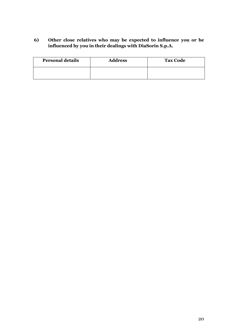# **6) Other close relatives who may be expected to influence you or be influenced by you in their dealings with DiaSorin S.p.A.**

| <b>Personal details</b> | <b>Address</b> | <b>Tax Code</b> |
|-------------------------|----------------|-----------------|
|                         |                |                 |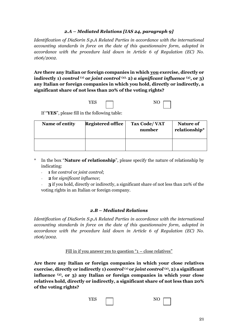# *2.A – Mediated Relations [IAS 24, paragraph 9]*

*Identification of DiaSorin S.p.A Related Parties in accordance with the international accounting standards in force on the date of this questionnaire form, adopted in accordance with the procedure laid down in Article 6 of Regulation (EC) No. 1606/2002.*

**Are there any Italian or foreign companies in which you exercise, directly or indirectly 1)** *control* **(1) or** *joint control* **(2), 2)** *a significant influence* **(3), or 3) any Italian or foreign companies in which you hold, directly or indirectly, a significant share of not less than 20% of the voting rights?** 

YES <u>not</u> NO

| × |  |
|---|--|
|   |  |

If "**YES**", please fill in the following table:

| Name of entity | <b>Registered office</b> | Tax Code/VAT<br>number | <b>Nature of</b><br>relationship* |
|----------------|--------------------------|------------------------|-----------------------------------|
|                |                          |                        |                                   |

- \* In the box "**Nature of relationship**", please specify the nature of relationship by indicating:
	- **1** for *control* or *joint control*;
	- **2** for *significant influence*;
	- **3** if you hold, directly or indirectly, a significant share of not less than 20% of the voting rights in an Italian or foreign company.

# *2.B – Mediated Relations*

*Identification of DiaSorin S.p.A Related Parties in accordance with the international accounting standards in force on the date of this questionnaire form, adopted in accordance with the procedure laid down in Article 6 of Regulation (EC) No. 1606/2002.*

Fill in if you answer yes to question " $1 -$  close relatives"

**Are there any Italian or foreign companies in which your close relatives exercise, directly or indirectly 1)** *control* **(1) or** *joint control* **(2), 2) a significant influence (3), or 3) any Italian or foreign companies in which your close relatives hold, directly or indirectly, a significant share of not less than 20% of the voting rights?** 

| <b>VFC</b><br>$\cdot$ |  | $\overline{ }$<br>Ÿ<br>- |  |
|-----------------------|--|--------------------------|--|
|                       |  |                          |  |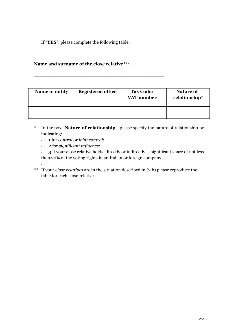If "**YES**", please complete the following table:

# **Name and surname of the close relative\*\*:**

**\_\_\_\_\_\_\_\_\_\_\_\_\_\_\_\_\_\_\_\_\_\_\_\_\_\_\_\_\_\_\_\_\_\_\_\_\_\_\_\_\_\_**

| Name of entity | Registered office | Tax Code/<br>VAT number | Nature of<br>relationship* |
|----------------|-------------------|-------------------------|----------------------------|
|                |                   |                         |                            |

- \* In the box "**Nature of relationship**", please specify the nature of relationship by indicating:
	- **1** for *control* or *joint control*;
	- **2** for *significant influence*;

- **3** if your close relative holds, directly or indirectly, a significant share of not less than 20% of the voting rights in an Italian or foreign company.

- \*\* If your *close relatives* are in the situation described in (2.b) please reproduce the table for each close relative.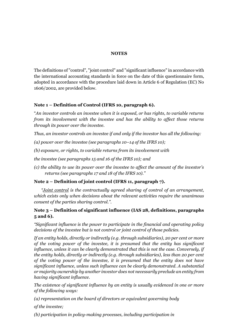#### **NOTES**

The definitions of "control", "joint control" and "significant influence" in accordance with the international accounting standards in force on the date of this questionnaire form, adopted in accordance with the procedure laid down in Article 6 of Regulation (EC) No 1606/2002, are provided below.

### **Note 1 – Definition of Control (IFRS 10, paragraph 6).**

"*An investor controls an investee when it is exposed, or has rights, to variable returns from its involvement with the investee and has the ability to affect those returns through its power over the investee.*

*Thus, an investor controls an investee if and only if the investor has all the following:*

*(a) power over the investee (see paragraphs 10–14 of the IFRS 10);*

*(b) exposure, or rights, to variable returns from its involvement with*

*the investee (see paragraphs 15 and 16 of the IFRS 10); and*

*(c) the ability to use its power over the investee to affect the amount of the investor's returns (see paragraphs 17 and 18 of the IFRS 10)."*

# **Note 2 – Definition of joint control (IFRS 11, paragraph 7).**

*"Joint control is the contractually agreed sharing of control of an arrangement, which exists only when decisions about the relevant activities require the unanimous consent of the parties sharing control.".*

# **Note 3 – Definition of significant influence (IAS 28, definitions, paragraphs 5 and 6).**

*"Significant influence is the power to participate in the financial and operating policy decisions of the investee but is not control or joint control of those policies.*

*If an entity holds, directly or indirectly (e.g. through subsidiaries), 20 per cent or more of the voting power of the investee, it is presumed that the entity has significant influence, unless it can be clearly demonstrated that this is not the case. Conversely, if the entity holds, directly or indirectly (e.g. through subsidiaries), less than 20 per cent of the voting power of the investee, it is presumed that the entity does not have significant influence, unless such influence can be clearly demonstrated. A substantial or majority ownership by another investor does not necessarily preclude an entity from having significant influence.*

*The existence of significant influence by an entity is usually evidenced in one or more of the following ways:*

*(a) representation on the board of directors or equivalent governing body*

*of the investee;*

*(b) participation in policy-making processes, including participation in*